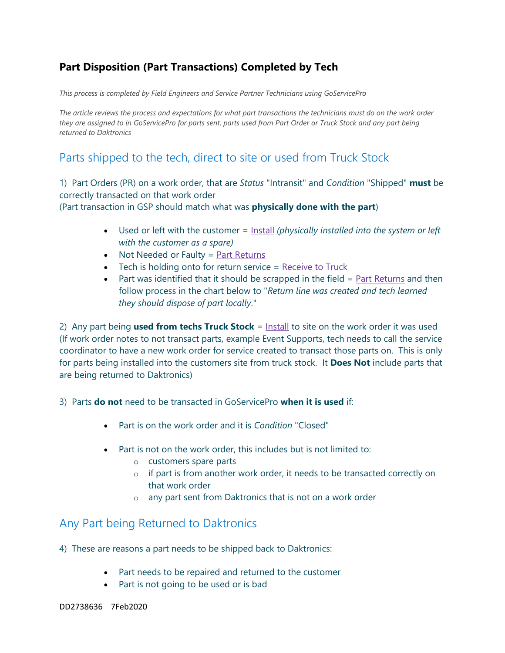# **Part Disposition (Part Transactions) Completed by Tech**

*This process is completed by Field Engineers and Service Partner Technicians using GoServicePro*

*The article reviews the process and expectations for what part transactions the technicians must do on the work order they are assigned to in GoServicePro for parts sent, parts used from Part Order or Truck Stock and any part being returned to Daktronics*

## Parts shipped to the tech, direct to site or used from Truck Stock

### 1) Part Orders (PR) on a work order, that are *Status* "Intransit" and *Condition* "Shipped" **must** be correctly transacted on that work order

(Part transaction in GSP should match what was **physically done with the part**)

- Used or left with the customer = [Install](http://www.daktronics.com/FieldServicePortalDocuments/GoServicePro%20-%20Install%20a%20Part.pdf) *(physically installed into the system or left with the customer as a spare)*
- Not Needed or Faulty = [Part Returns](http://www.daktronics.com/FieldServicePortalDocuments/GoServicePro%20-%20Return%20Unused%20Parts.pdf)
- $\bullet$  Tech is holding onto for return service = [Receive to Truck](http://www.daktronics.com/FieldServicePortalDocuments/GoServicePro%20-%20Receive%20a%20Part%20to%20Truck.pdf)
- Part was identified that it should be scrapped in the field  $=$  [Part Returns](http://www.daktronics.com/FieldServicePortalDocuments/GoServicePro%20-%20Return%20Unused%20Parts.pdf) and then follow process in the chart below to "*Return line was created and tech learned they should dispose of part locally*."

2) Any part being **used from techs Truck Stock** = [Install](http://www.daktronics.com/FieldServicePortalDocuments/GoServicePro%20-%20Install%20a%20Part.pdf) to site on the work order it was used (If work order notes to not transact parts, example Event Supports, tech needs to call the service coordinator to have a new work order for service created to transact those parts on. This is only for parts being installed into the customers site from truck stock. It **Does Not** include parts that are being returned to Daktronics)

#### 3) Parts **do not** need to be transacted in GoServicePro **when it is used** if:

- Part is on the work order and it is *Condition* "Closed"
- Part is not on the work order, this includes but is not limited to:
	- o customers spare parts
	- o if part is from another work order, it needs to be transacted correctly on that work order
	- o any part sent from Daktronics that is not on a work order

### Any Part being Returned to Daktronics

4) These are reasons a part needs to be shipped back to Daktronics:

- Part needs to be repaired and returned to the customer
- Part is not going to be used or is bad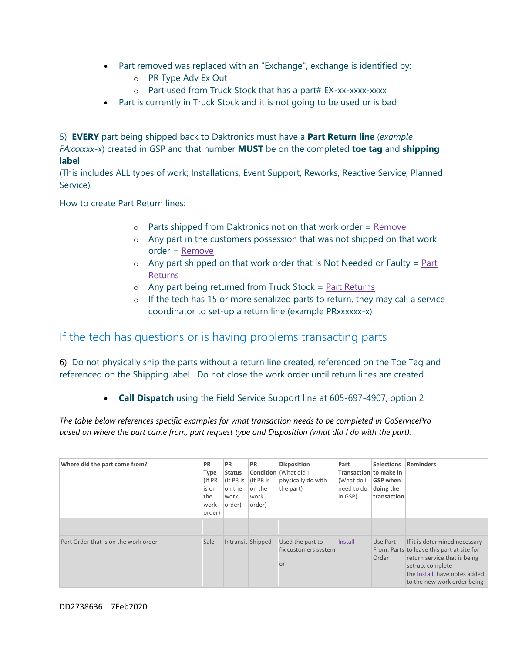- Part removed was replaced with an "Exchange", exchange is identified by:
	- o PR Type Adv Ex Out
	- o Part used from Truck Stock that has a part# EX-xx-xxxx-xxxx
- Part is currently in Truck Stock and it is not going to be used or is bad

5) **EVERY** part being shipped back to Daktronics must have a **Part Return line** (*example FAxxxxxx-x*) created in GSP and that number **MUST** be on the completed **toe tag** and **shipping label**

(This includes ALL types of work; Installations, Event Support, Reworks, Reactive Service, Planned Service)

How to create Part Return lines:

- $\circ$  Parts shipped from Daktronics not on that work order = [Remove](http://www.daktronics.com/FieldServicePortalDocuments/GoServicePro%20-%20Remove%20a%20Part.pdf)
- o Any part in the customers possession that was not shipped on that work order = [Remove](http://www.daktronics.com/FieldServicePortalDocuments/GoServicePro%20-%20Remove%20a%20Part.pdf)
- $\circ$  Any part shipped on that work order that is Not Needed or Faulty = Part **[Returns](http://www.daktronics.com/FieldServicePortalDocuments/GoServicePro%20-%20Return%20Unused%20Parts.pdf)**
- o Any part being returned from Truck Stock = [Part Returns](http://www.daktronics.com/FieldServicePortalDocuments/GoServicePro%20-%20Return%20Unused%20Parts.pdf)
- o If the tech has 15 or more serialized parts to return, they may call a service coordinator to set-up a return line (example PRxxxxxx-x)

### If the tech has questions or is having problems transacting parts

6) Do not physically ship the parts without a return line created, referenced on the Toe Tag and referenced on the Shipping label. Do not close the work order until return lines are created

• **Call Dispatch** using the Field Service Support line at 605-697-4907, option 2

*The table below references specific examples for what transaction needs to be completed in GoServicePro based on where the part came from, part request type and Disposition (what did I do with the part):*

| Where did the part come from?        | <b>PR</b><br>Type<br>(If PR<br>is on<br>lthe<br>work<br>order) | <b>PR</b><br><b>Status</b><br>l (If PR is<br>on the<br>work<br>order) | <b>PR</b><br>(If PR is<br>on the<br>work<br>order) | <b>Disposition</b><br>Condition   (What did I<br>physically do with<br>the part) | Part<br>Transaction to make in<br>(What do I<br>need to do<br>in GSP) | <b>Selections</b><br><b>GSP</b> when<br>doing the<br>transaction | Reminders                                                                                                                                                                                       |
|--------------------------------------|----------------------------------------------------------------|-----------------------------------------------------------------------|----------------------------------------------------|----------------------------------------------------------------------------------|-----------------------------------------------------------------------|------------------------------------------------------------------|-------------------------------------------------------------------------------------------------------------------------------------------------------------------------------------------------|
| Part Order that is on the work order | Sale                                                           | Intransit Shipped                                                     |                                                    | Used the part to<br>fix customers system<br>or                                   | Install                                                               | Use Part<br>Order                                                | If it is determined necessary<br>From: Parts to leave this part at site for<br>return service that is being<br>set-up, complete<br>the Install, have notes added<br>to the new work order being |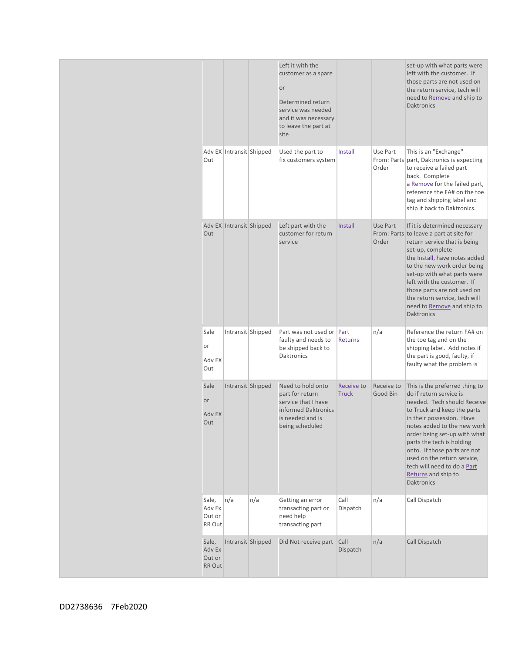|                                            |                          |     | Left it with the<br>customer as a spare<br>or<br>Determined return<br>service was needed<br>and it was necessary<br>to leave the part at<br>site |                                   |                        | set-up with what parts were<br>left with the customer. If<br>those parts are not used on<br>the return service, tech will<br>need to Remove and ship to<br><b>Daktronics</b>                                                                                                                                                                                                               |
|--------------------------------------------|--------------------------|-----|--------------------------------------------------------------------------------------------------------------------------------------------------|-----------------------------------|------------------------|--------------------------------------------------------------------------------------------------------------------------------------------------------------------------------------------------------------------------------------------------------------------------------------------------------------------------------------------------------------------------------------------|
| Out                                        | Adv EX Intransit Shipped |     | Used the part to<br>fix customers system                                                                                                         | Install                           | Use Part<br>Order      | This is an "Exchange"<br>From: Parts part, Daktronics is expecting<br>to receive a failed part<br>back. Complete<br>a Remove for the failed part,<br>reference the FA# on the toe<br>tag and shipping label and<br>ship it back to Daktronics.                                                                                                                                             |
| Out                                        | Adv EX Intransit Shipped |     | Left part with the<br>customer for return<br>service                                                                                             | Install                           | Use Part<br>Order      | If it is determined necessary<br>From: Parts to leave a part at site for<br>return service that is being<br>set-up, complete<br>the Install, have notes added<br>to the new work order being<br>set-up with what parts were<br>left with the customer. If<br>those parts are not used on<br>the return service, tech will<br>need to Remove and ship to<br><b>Daktronics</b>               |
| Sale<br>or<br>Adv EX<br>Out                | Intransit Shipped        |     | Part was not used or<br>faulty and needs to<br>be shipped back to<br><b>Daktronics</b>                                                           | Part<br><b>Returns</b>            | n/a                    | Reference the return FA# on<br>the toe tag and on the<br>shipping label. Add notes if<br>the part is good, faulty, if<br>faulty what the problem is                                                                                                                                                                                                                                        |
| Sale<br>or<br>Adv EX<br>Out                | Intransit Shipped        |     | Need to hold onto<br>part for return<br>service that I have<br>informed Daktronics<br>is needed and is<br>being scheduled                        | <b>Receive to</b><br><b>Truck</b> | Receive to<br>Good Bin | This is the preferred thing to<br>do if return service is<br>needed. Tech should Receive<br>to Truck and keep the parts<br>in their possession. Have<br>notes added to the new work<br>order being set-up with what<br>parts the tech is holding<br>onto. If those parts are not<br>used on the return service,<br>tech will need to do a Part<br>Returns and ship to<br><b>Daktronics</b> |
| Sale,<br>Adv Ex<br>Out or<br><b>RR Out</b> | n/a                      | n/a | Getting an error<br>transacting part or<br>need help<br>transacting part                                                                         | Call<br>Dispatch                  | n/a                    | Call Dispatch                                                                                                                                                                                                                                                                                                                                                                              |
| Sale,<br>Adv Ex<br>Out or<br><b>RR Out</b> | Intransit Shipped        |     | Did Not receive part                                                                                                                             | Call<br>Dispatch                  | n/a                    | Call Dispatch                                                                                                                                                                                                                                                                                                                                                                              |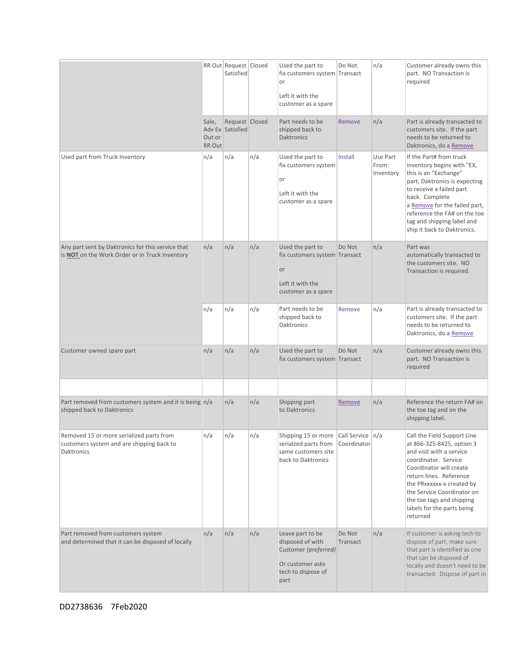|                                                                                                            |                           | RR Out Request Closed<br>Satisfied |     | Used the part to<br>fix customers system Transact<br>or<br>Left it with the<br>customer as a spare             | Do Not                            | n/a                            | Customer already owns this<br>part. NO Transaction is<br>required                                                                                                                                                                                                                                    |
|------------------------------------------------------------------------------------------------------------|---------------------------|------------------------------------|-----|----------------------------------------------------------------------------------------------------------------|-----------------------------------|--------------------------------|------------------------------------------------------------------------------------------------------------------------------------------------------------------------------------------------------------------------------------------------------------------------------------------------------|
|                                                                                                            | Sale,<br>Out or<br>RR Out | Request Closed<br>Adv Ex Satisfied |     | Part needs to be<br>shipped back to<br><b>Daktronics</b>                                                       | Remove                            | n/a                            | Part is already transacted to<br>customers site. If the part<br>needs to be returned to<br>Daktronics, do a Remove                                                                                                                                                                                   |
| Used part from Truck Inventory                                                                             | n/a                       | n/a                                | n/a | Used the part to<br>fix customers system<br>or<br>Left it with the<br>customer as a spare                      | Install                           | Use Part<br>From:<br>Inventory | If the Part# from truck<br>inventory begins with "EX,<br>this is an "Exchange"<br>part, Daktronics is expecting<br>to receive a failed part<br>back. Complete<br>a Remove for the failed part,<br>reference the FA# on the toe<br>tag and shipping label and<br>ship it back to Daktronics.          |
| Any part sent by Daktronics for this service that<br>is NOT on the Work Order or in Truck Inventory        | n/a                       | n/a                                | n/a | Used the part to<br>fix customers system Transact<br>or<br>Left it with the<br>customer as a spare             | Do Not                            | n/a                            | Part was<br>automatically transacted to<br>the customers site. NO<br>Transaction is required.                                                                                                                                                                                                        |
|                                                                                                            | n/a                       | n/a                                | n/a | Part needs to be<br>shipped back to<br><b>Daktronics</b>                                                       | Remove                            | n/a                            | Part is already transacted to<br>customers site. If the part<br>needs to be returned to<br>Daktronics, do a Remove                                                                                                                                                                                   |
| Customer owned spare part                                                                                  | n/a                       | n/a                                | n/a | Used the part to<br>fix customers system Transact                                                              | Do Not                            | n/a                            | Customer already owns this<br>part. NO Transaction is<br>required                                                                                                                                                                                                                                    |
| Part removed from customers system and it is being n/a<br>shipped back to Daktronics                       |                           | n/a                                | n/a | Shipping part<br>to Daktronics                                                                                 | Remove                            | n/a                            | Reference the return FA# on<br>the toe tag and on the<br>shipping label.                                                                                                                                                                                                                             |
| Removed 15 or more serialized parts from<br>customers system and are shipping back to<br><b>Daktronics</b> | n/a                       | n/a                                | n/a | Shipping 15 or more<br>serialzed parts from<br>same customers site<br>back to Daktronics                       | Call Service   n/a<br>Coordinator |                                | Call the Field Support Line<br>at 866-325-8425, option 3<br>and visit with a service<br>coordinator. Service<br>Coordinator will create<br>return lines. Reference<br>the PRxxxxxx-x created by<br>the Service Coordinator on<br>the toe tags and shipping<br>labels for the parts being<br>returned |
| Part removed from customers system<br>and determined that it can be disposed of locally                    | n/a                       | n/a                                | n/a | Leave part to be<br>disposed of with<br>Customer (preferred)<br>Or customer asks<br>tech to dispose of<br>part | Do Not<br>Transact                | n/a                            | If customer is asking tech to<br>dispose of part, make sure<br>that part is identified as one<br>that can be disposed of<br>locally and doesn't need to be<br>transacted. Dispose of part in                                                                                                         |